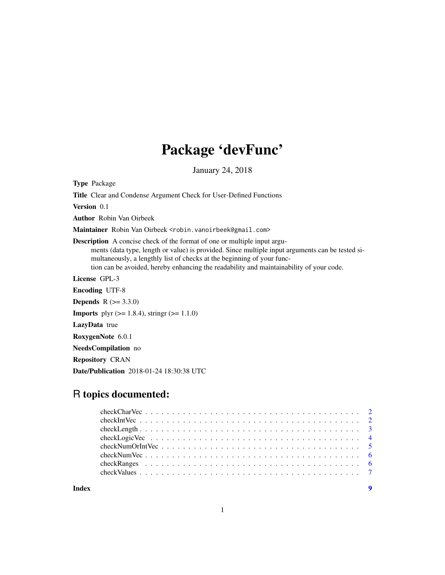## Package 'devFunc'

January 24, 2018

Type Package

Title Clear and Condense Argument Check for User-Defined Functions Version 0.1 Author Robin Van Oirbeek Maintainer Robin Van Oirbeek <robin.vanoirbeek@gmail.com> Description A concise check of the format of one or multiple input arguments (data type, length or value) is provided. Since multiple input arguments can be tested simultaneously, a lengthly list of checks at the beginning of your function can be avoided, hereby enhancing the readability and maintainability of your code. License GPL-3 Encoding UTF-8 **Depends**  $R (= 3.3.0)$ **Imports** plyr ( $>= 1.8.4$ ), stringr ( $>= 1.1.0$ ) LazyData true RoxygenNote 6.0.1 NeedsCompilation no Repository CRAN Date/Publication 2018-01-24 18:30:38 UTC

### R topics documented:

**Index** [9](#page-8-0)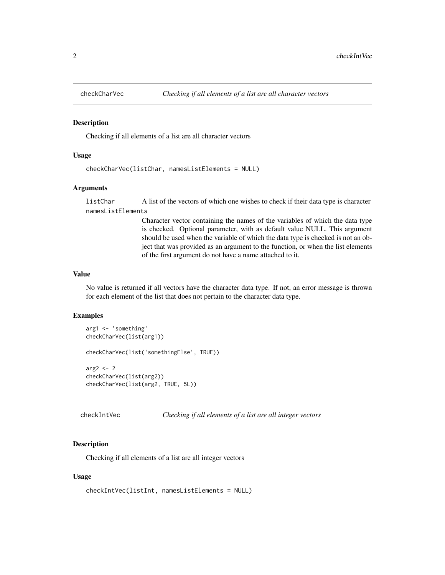<span id="page-1-0"></span>

#### Description

Checking if all elements of a list are all character vectors

#### Usage

```
checkCharVec(listChar, namesListElements = NULL)
```
#### Arguments

listChar A list of the vectors of which one wishes to check if their data type is character namesListElements

> Character vector containing the names of the variables of which the data type is checked. Optional parameter, with as default value NULL. This argument should be used when the variable of which the data type is checked is not an object that was provided as an argument to the function, or when the list elements of the first argument do not have a name attached to it.

#### Value

No value is returned if all vectors have the character data type. If not, an error message is thrown for each element of the list that does not pertain to the character data type.

#### Examples

```
arg1 <- 'something'
checkCharVec(list(arg1))
checkCharVec(list('somethingElse', TRUE))
arg2 < -2checkCharVec(list(arg2))
checkCharVec(list(arg2, TRUE, 5L))
```
checkIntVec *Checking if all elements of a list are all integer vectors*

#### Description

Checking if all elements of a list are all integer vectors

#### Usage

```
checkIntVec(listInt, namesListElements = NULL)
```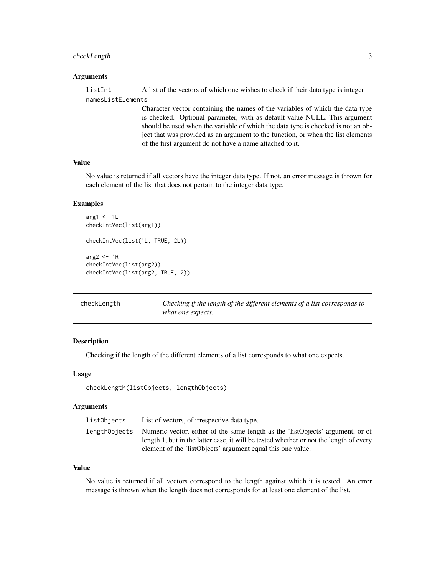#### <span id="page-2-0"></span>checkLength 3

#### Arguments

listInt A list of the vectors of which one wishes to check if their data type is integer namesListElements

> Character vector containing the names of the variables of which the data type is checked. Optional parameter, with as default value NULL. This argument should be used when the variable of which the data type is checked is not an object that was provided as an argument to the function, or when the list elements of the first argument do not have a name attached to it.

#### Value

No value is returned if all vectors have the integer data type. If not, an error message is thrown for each element of the list that does not pertain to the integer data type.

#### Examples

```
arg1 <- 1LcheckIntVec(list(arg1))
checkIntVec(list(1L, TRUE, 2L))
arg2 <- 'R'
checkIntVec(list(arg2))
checkIntVec(list(arg2, TRUE, 2))
```

| checkLength | Checking if the length of the different elements of a list corresponds to |
|-------------|---------------------------------------------------------------------------|
|             | what one expects.                                                         |

#### Description

Checking if the length of the different elements of a list corresponds to what one expects.

#### Usage

```
checkLength(listObjects, lengthObjects)
```
#### Arguments

| listObjects | List of vectors, of irrespective data type.                                                  |
|-------------|----------------------------------------------------------------------------------------------|
|             | lengthObjects Numeric vector, either of the same length as the 'listObjects' argument, or of |
|             | length 1, but in the latter case, it will be tested whether or not the length of every       |
|             | element of the 'listObjects' argument equal this one value.                                  |

#### Value

No value is returned if all vectors correspond to the length against which it is tested. An error message is thrown when the length does not corresponds for at least one element of the list.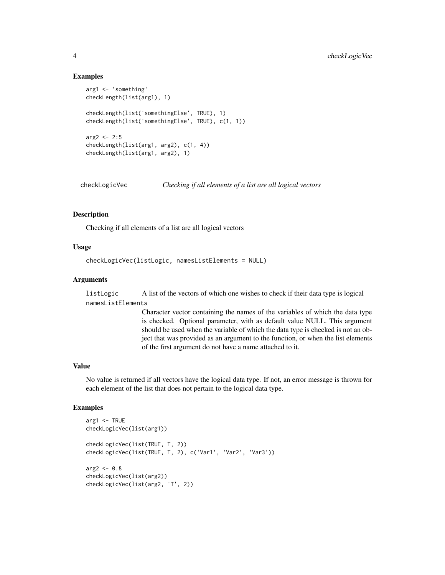#### Examples

```
arg1 <- 'something'
checkLength(list(arg1), 1)
checkLength(list('somethingElse', TRUE), 1)
checkLength(list('somethingElse', TRUE), c(1, 1))
arg2 < -2:5checkLength(list(arg1, arg2), c(1, 4))
checkLength(list(arg1, arg2), 1)
```
checkLogicVec *Checking if all elements of a list are all logical vectors*

#### Description

Checking if all elements of a list are all logical vectors

#### Usage

```
checkLogicVec(listLogic, namesListElements = NULL)
```
#### Arguments

listLogic A list of the vectors of which one wishes to check if their data type is logical namesListElements

> Character vector containing the names of the variables of which the data type is checked. Optional parameter, with as default value NULL. This argument should be used when the variable of which the data type is checked is not an object that was provided as an argument to the function, or when the list elements of the first argument do not have a name attached to it.

#### Value

No value is returned if all vectors have the logical data type. If not, an error message is thrown for each element of the list that does not pertain to the logical data type.

#### Examples

```
arg1 <- TRUE
checkLogicVec(list(arg1))
checkLogicVec(list(TRUE, T, 2))
checkLogicVec(list(TRUE, T, 2), c('Var1', 'Var2', 'Var3'))
arg2 < -0.8checkLogicVec(list(arg2))
checkLogicVec(list(arg2, 'T', 2))
```
<span id="page-3-0"></span>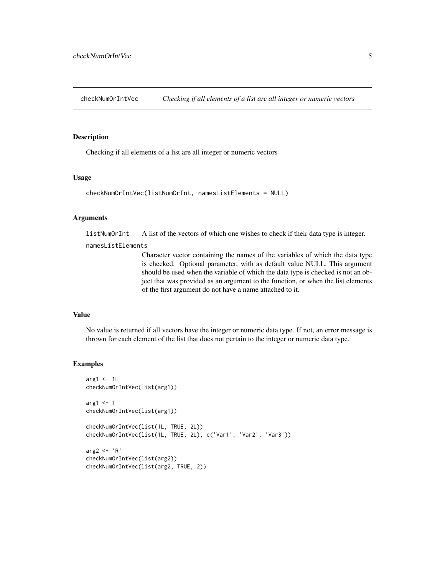<span id="page-4-0"></span>checkNumOrIntVec *Checking if all elements of a list are all integer or numeric vectors*

#### Description

Checking if all elements of a list are all integer or numeric vectors

#### Usage

```
checkNumOrIntVec(listNumOrInt, namesListElements = NULL)
```
#### Arguments

listNumOrInt A list of the vectors of which one wishes to check if their data type is integer.

namesListElements

Character vector containing the names of the variables of which the data type is checked. Optional parameter, with as default value NULL. This argument should be used when the variable of which the data type is checked is not an object that was provided as an argument to the function, or when the list elements of the first argument do not have a name attached to it.

#### Value

No value is returned if all vectors have the integer or numeric data type. If not, an error message is thrown for each element of the list that does not pertain to the integer or numeric data type.

#### Examples

```
arg1 < -1checkNumOrIntVec(list(arg1))
arg1 <- 1
checkNumOrIntVec(list(arg1))
checkNumOrIntVec(list(1L, TRUE, 2L))
checkNumOrIntVec(list(1L, TRUE, 2L), c('Var1', 'Var2', 'Var3'))
arg2 <- 'R'
checkNumOrIntVec(list(arg2))
checkNumOrIntVec(list(arg2, TRUE, 2))
```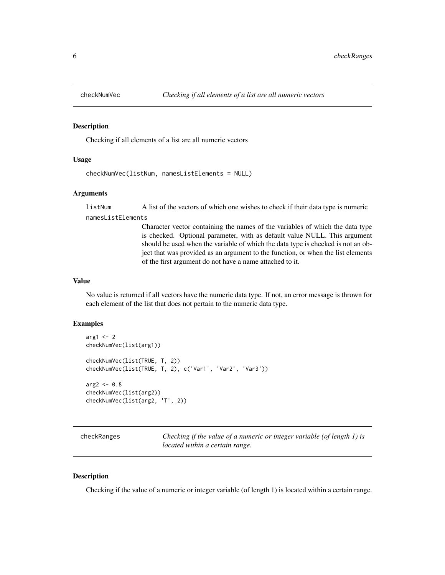<span id="page-5-0"></span>

#### Description

Checking if all elements of a list are all numeric vectors

#### Usage

```
checkNumVec(listNum, namesListElements = NULL)
```
#### Arguments

listNum A list of the vectors of which one wishes to check if their data type is numeric namesListElements

> Character vector containing the names of the variables of which the data type is checked. Optional parameter, with as default value NULL. This argument should be used when the variable of which the data type is checked is not an object that was provided as an argument to the function, or when the list elements of the first argument do not have a name attached to it.

#### Value

No value is returned if all vectors have the numeric data type. If not, an error message is thrown for each element of the list that does not pertain to the numeric data type.

#### Examples

```
arg1 < -2checkNumVec(list(arg1))
checkNumVec(list(TRUE, T, 2))
checkNumVec(list(TRUE, T, 2), c('Var1', 'Var2', 'Var3'))
arg2 < -0.8checkNumVec(list(arg2))
checkNumVec(list(arg2, 'T', 2))
```
checkRanges *Checking if the value of a numeric or integer variable (of length 1) is located within a certain range.*

#### **Description**

Checking if the value of a numeric or integer variable (of length 1) is located within a certain range.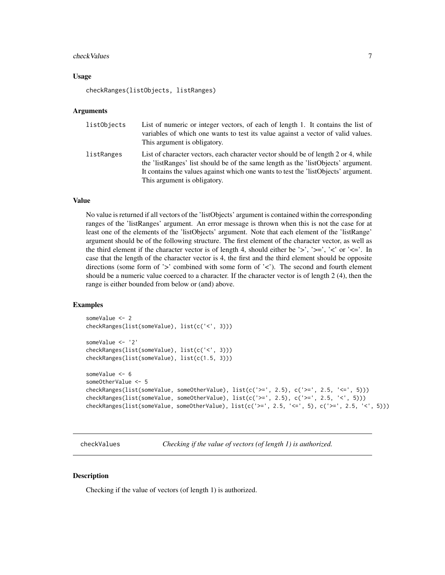#### <span id="page-6-0"></span>checkValues 7

#### Usage

checkRanges(listObjects, listRanges)

#### Arguments

| listObjects | List of numeric or integer vectors, of each of length 1. It contains the list of<br>variables of which one wants to test its value against a vector of valid values.<br>This argument is obligatory.                                                                                          |
|-------------|-----------------------------------------------------------------------------------------------------------------------------------------------------------------------------------------------------------------------------------------------------------------------------------------------|
| listRanges  | List of character vectors, each character vector should be of length 2 or 4, while<br>the 'listRanges' list should be of the same length as the 'listObjects' argument.<br>It contains the values against which one wants to test the 'listObjects' argument.<br>This argument is obligatory. |

#### Value

No value is returned if all vectors of the 'listObjects' argument is contained within the corresponding ranges of the 'listRanges' argument. An error message is thrown when this is not the case for at least one of the elements of the 'listObjects' argument. Note that each element of the 'listRange' argument should be of the following structure. The first element of the character vector, as well as the third element if the character vector is of length 4, should either be '>', '>=', '<' or '<='. In case that the length of the character vector is 4, the first and the third element should be opposite directions (some form of '>' combined with some form of '<'). The second and fourth element should be a numeric value coerced to a character. If the character vector is of length 2 (4), then the range is either bounded from below or (and) above.

#### Examples

```
someValue <- 2
checkRanges(list(someValue), list(c('<', 3)))
someValue <- '2'
checkRanges(list(someValue), list(c('<', 3)))
checkRanges(list(someValue), list(c(1.5, 3)))
someValue <- 6
someOtherValue <- 5
checkRanges(list(someValue, someOtherValue), list(c('>=', 2.5), c('>=', 2.5, '<=', 5)))
checkRanges(list(someValue, someOtherValue), list(c('>=', 2.5), c('>=', 2.5, '<', 5)))
checkRanges(list(someValue, someOtherValue), list(c('>=', 2.5, '<=', 5), c('>=', 2.5, '<', 5)))
```
checkValues *Checking if the value of vectors (of length 1) is authorized.*

#### Description

Checking if the value of vectors (of length 1) is authorized.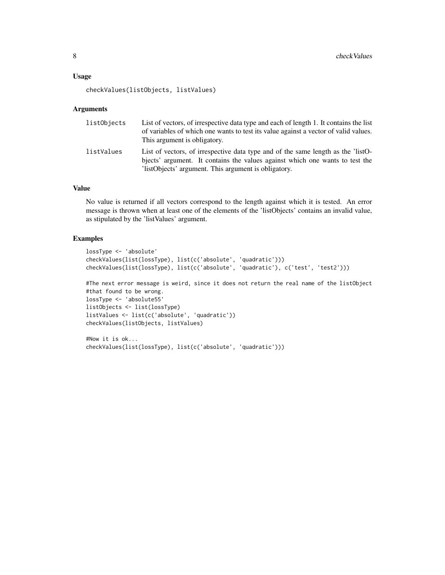#### Usage

checkValues(listObjects, listValues)

#### Arguments

| listObjects | List of vectors, of irrespective data type and each of length 1. It contains the list<br>of variables of which one wants to test its value against a vector of valid values.<br>This argument is obligatory.            |
|-------------|-------------------------------------------------------------------------------------------------------------------------------------------------------------------------------------------------------------------------|
| listValues  | List of vectors, of irrespective data type and of the same length as the 'listO-<br>bjects' argument. It contains the values against which one wants to test the<br>listObjects' argument. This argument is obligatory. |

#### Value

No value is returned if all vectors correspond to the length against which it is tested. An error message is thrown when at least one of the elements of the 'listObjects' contains an invalid value, as stipulated by the 'listValues' argument.

#### Examples

```
lossType <- 'absolute'
checkValues(list(lossType), list(c('absolute', 'quadratic')))
checkValues(list(lossType), list(c('absolute', 'quadratic'), c('test', 'test2')))
#The next error message is weird, since it does not return the real name of the listObject
#that found to be wrong.
lossType <- 'absolute55'
listObjects <- list(lossType)
listValues <- list(c('absolute', 'quadratic'))
checkValues(listObjects, listValues)
```

```
#Now it is ok...
checkValues(list(lossType), list(c('absolute', 'quadratic')))
```